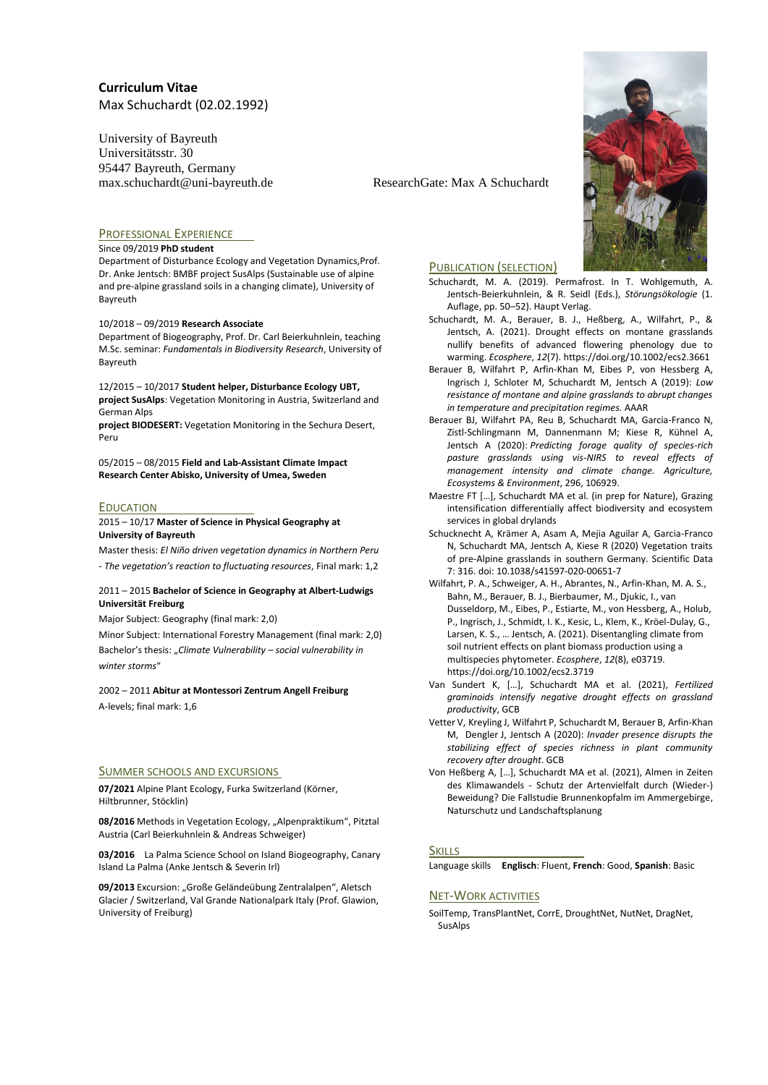University of Bayreuth Universitätsstr. 30 95447 Bayreuth, Germany max.schuchardt@uni-bayreuth.de ResearchGate: Max A Schuchardt



### Since 09/2019 **PhD student**

Department of Disturbance Ecology and Vegetation Dynamics,Prof. Dr. Anke Jentsch: BMBF project SusAlps (Sustainable use of alpine and pre-alpine grassland soils in a changing climate), University of Bayreuth

#### 10/2018 – 09/2019 **Research Associate**

Department of Biogeography, Prof. Dr. Carl Beierkuhnlein, teaching M.Sc. seminar: *Fundamentals in Biodiversity Research*, University of Bayreuth

12/2015 – 10/2017 **Student helper, Disturbance Ecology UBT, project SusAlps**: Vegetation Monitoring in Austria, Switzerland and German Alps

**project BIODESERT:** Vegetation Monitoring in the Sechura Desert, Peru

05/2015 – 08/2015 **Field and Lab-Assistant Climate Impact Research Center Abisko, University of Umea, Sweden**

#### **EDUCATION**

2015 – 10/17 **Master of Science in Physical Geography at University of Bayreuth**

Master thesis: *El Niño driven vegetation dynamics in Northern Peru - The vegetation's reaction to fluctuating resources*, Final mark: 1,2

#### 2011 – 2015 **Bachelor of Science in Geography at Albert-Ludwigs Universität Freiburg**

Major Subject: Geography (final mark: 2,0)

Minor Subject: International Forestry Management (final mark: 2,0) Bachelor's thesis: "*Climate Vulnerability – social vulnerability in winter storms*"

# 2002 – 2011 **Abitur at Montessori Zentrum Angell Freiburg**

A-levels; final mark: 1,6

### SUMMER SCHOOLS AND EXCURSIONS

**07/2021** Alpine Plant Ecology, Furka Switzerland (Körner, Hiltbrunner, Stöcklin)

08/2016 Methods in Vegetation Ecology, "Alpenpraktikum", Pitztal Austria (Carl Beierkuhnlein & Andreas Schweiger)

**03/2016** La Palma Science School on Island Biogeography, Canary Island La Palma (Anke Jentsch & Severin Irl)

09/2013 Excursion: "Große Geländeübung Zentralalpen", Aletsch Glacier / Switzerland, Val Grande Nationalpark Italy (Prof. Glawion, University of Freiburg)



#### PUBLICATION (SELECTION)

Schuchardt, M. A. (2019). Permafrost. In T. Wohlgemuth, A. Jentsch-Beierkuhnlein, & R. Seidl (Eds.), *Störungsökologie* (1. Auflage, pp. 50–52). Haupt Verlag.

- Schuchardt, M. A., Berauer, B. J., Heßberg, A., Wilfahrt, P., & Jentsch, A. (2021). Drought effects on montane grasslands nullify benefits of advanced flowering phenology due to warming. *Ecosphere*, *12*(7). https://doi.org/10.1002/ecs2.3661
- Berauer B, Wilfahrt P, Arfin-Khan M, Eibes P, von Hessberg A, Ingrisch J, Schloter M, Schuchardt M, Jentsch A (2019): *Low resistance of montane and alpine grasslands to abrupt changes in temperature and precipitation regimes.* AAAR
- Berauer BJ, Wilfahrt PA, Reu B, Schuchardt MA, Garcia-Franco N, Zistl-Schlingmann M, Dannenmann M; Kiese R, Kühnel A, Jentsch A (2020): *Predicting forage quality of species-rich pasture grasslands using vis-NIRS to reveal effects of management intensity and climate change. Agriculture, Ecosystems & Environment*, 296, 106929.
- Maestre FT […], Schuchardt MA et al. (in prep for Nature), Grazing intensification differentially affect biodiversity and ecosystem services in global drylands
- Schucknecht A, Krämer A, Asam A, Mejia Aguilar A, Garcia-Franco N, Schuchardt MA, Jentsch A, Kiese R (2020) Vegetation traits of pre-Alpine grasslands in southern Germany. Scientific Data 7: 316. doi: 10.1038/s41597-020-00651-7
- Wilfahrt, P. A., Schweiger, A. H., Abrantes, N., Arfin-Khan, M. A. S., Bahn, M., Berauer, B. J., Bierbaumer, M., Djukic, I., van Dusseldorp, M., Eibes, P., Estiarte, M., von Hessberg, A., Holub, P., Ingrisch, J., Schmidt, I. K., Kesic, L., Klem, K., Kröel-Dulay, G., Larsen, K. S., … Jentsch, A. (2021). Disentangling climate from soil nutrient effects on plant biomass production using a multispecies phytometer. *Ecosphere*, *12*(8), e03719. https://doi.org/10.1002/ecs2.3719
- Van Sundert K, […], Schuchardt MA et al. (2021), *Fertilized graminoids intensify negative drought effects on grassland productivity*, GCB
- Vetter V, Kreyling J, Wilfahrt P, Schuchardt M, Berauer B, Arfin-Khan M, Dengler J, Jentsch A (2020): *Invader presence disrupts the stabilizing effect of species richness in plant community recovery after drought*. GCB
- Von Heßberg A, […], Schuchardt MA et al. (2021), Almen in Zeiten des Klimawandels - Schutz der Artenvielfalt durch (Wieder-) Beweidung? Die Fallstudie Brunnenkopfalm im Ammergebirge, Naturschutz und Landschaftsplanung

### **SKILLS**

Language skills **Englisch**: Fluent, **French**: Good, **Spanish**: Basic

## NET-WORK ACTIVITIES

SoilTemp, TransPlantNet, CorrE, DroughtNet, NutNet, DragNet, SusAlps